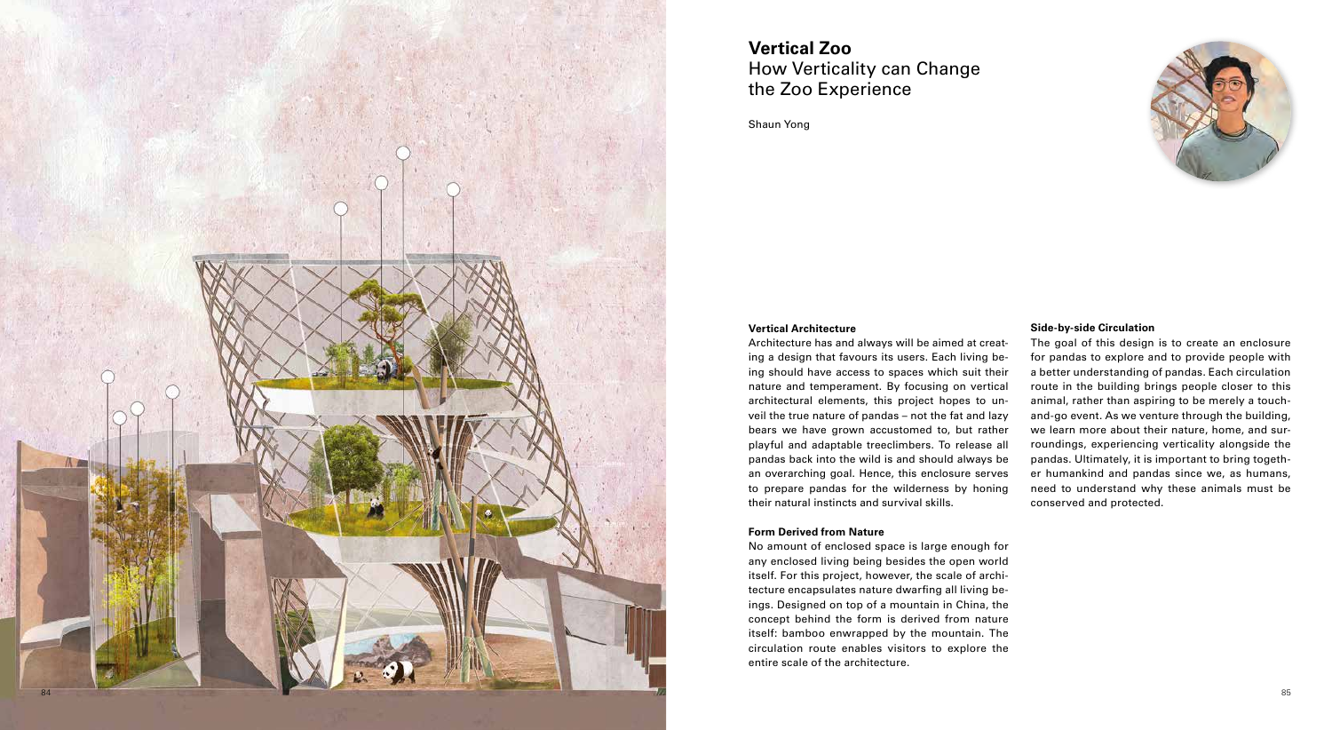#### **Vertical Architecture**

#### **Form Derived from Nature**

Architecture has and always will be aimed at creat ing a design that favours its users. Each living be ing should have access to spaces which suit their nature and temperament. By focusing on vertical architectural elements, this project hopes to un veil the true nature of pandas – not the fat and lazy bears we have grown accustomed to, but rather playful and adaptable treeclimbers. To release all pandas back into the wild is and should always be an overarching goal. Hence, this enclosure serves to prepare pandas for the wilderness by honing their natural instincts and survival skills. The goal of this design is to create an enclosure for pandas to explore and to provide people with a better understanding of pandas. Each circulation route in the building brings people closer to this animal, rather than aspiring to be merely a touchand-go event. As we venture through the building, we learn more about their nature, home, and sur roundings, experiencing verticality alongside the pandas. Ultimately, it is important to bring togeth er humankind and pandas since we, as humans, need to understand why these animals must be conserved and protected.

No amount of enclosed space is large enough for any enclosed living being besides the open world itself. For this project, however, the scale of archi tecture encapsulates nature dwarfing all living be ings. Designed on top of a mountain in China, the concept behind the form is derived from nature itself: bamboo enwrapped by the mountain. The circulation route enables visitors to explore the entire scale of the architecture.



#### **Side-by-side Circulation**

# **Vertical Zoo** How Verticality can Change the Zoo Experience

Shaun Yong

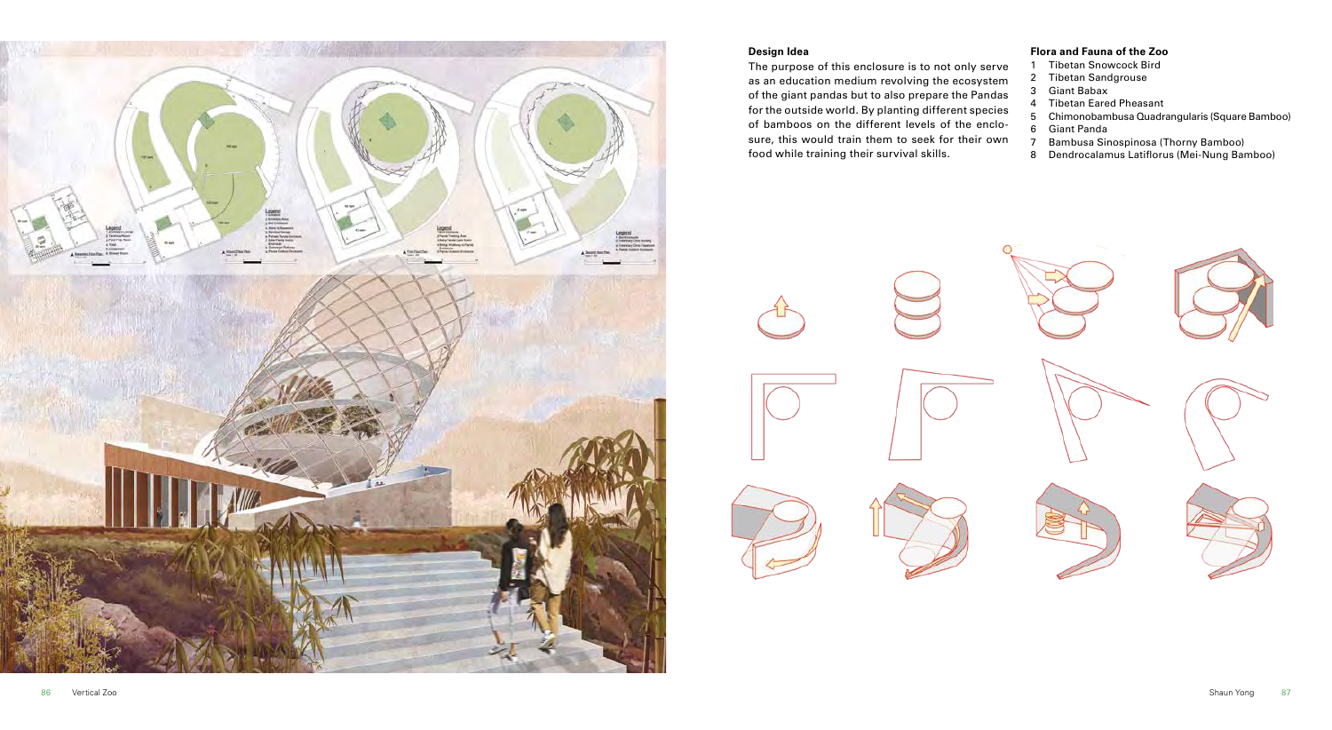

### **Design Idea**

The purpose of this enclosure is to not only serve as an education medium revolving the ecosystem of the giant pandas but to also prepare the Pandas for the outside world. By planting different species of bamboos on the different levels of the enclosure, this would train them to seek for their own food while training their survival skills.



## **Flora and Fauna of the Zoo**

- 1 Tibetan Snowcock Bird
- 2 Tibetan Sandgrouse
- 3 Giant Babax
- 4 Tibetan Eared Pheasant
- 5 Chimonobambusa Quadrangularis (Square Bamboo)
- 6 Giant Panda
- 7 Bambusa Sinospinosa (Thorny Bamboo)
- 8 Dendrocalamus Latiflorus (Mei-Nung Bamboo)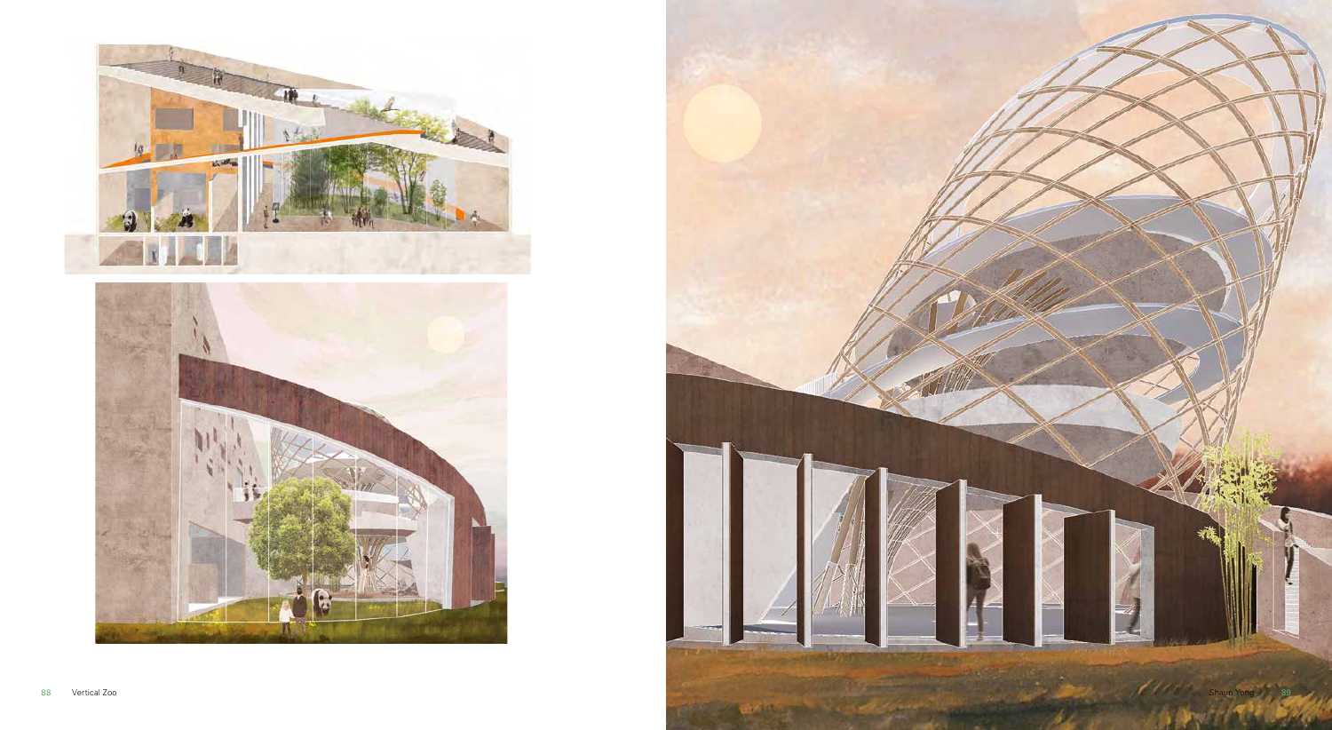



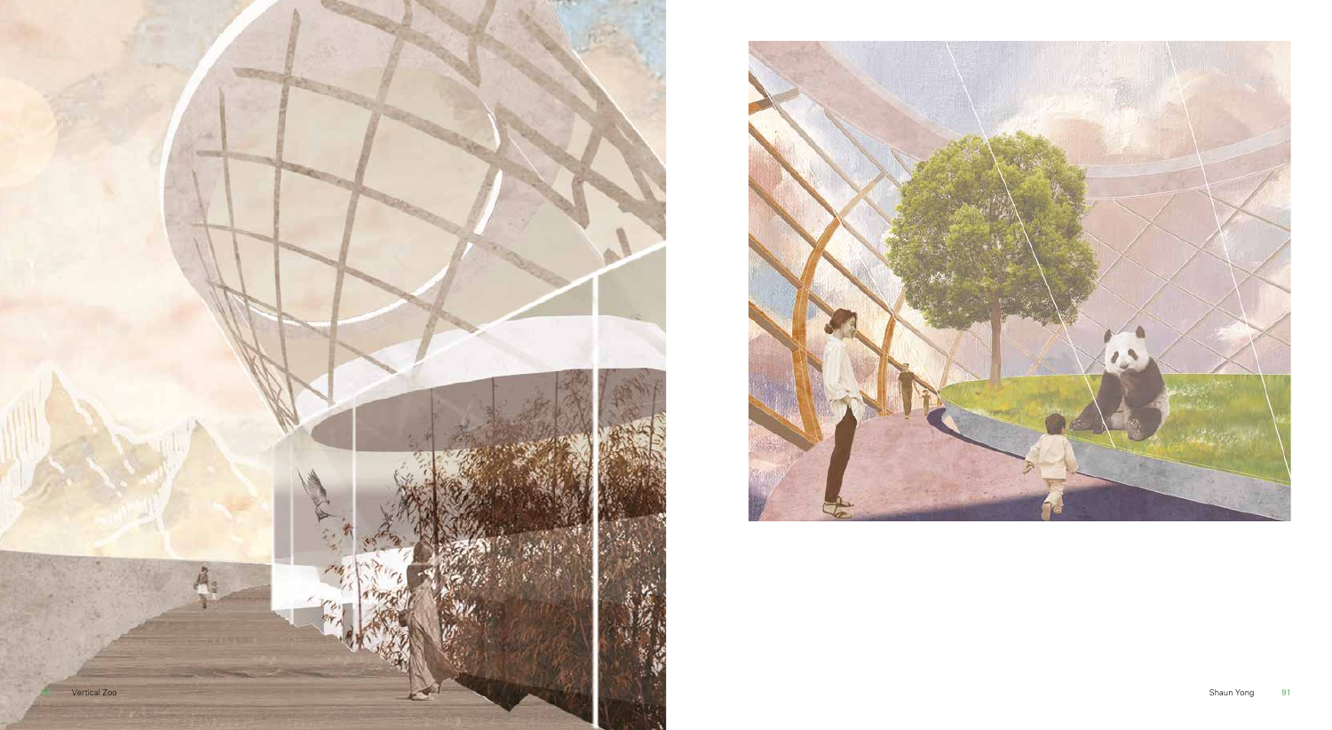